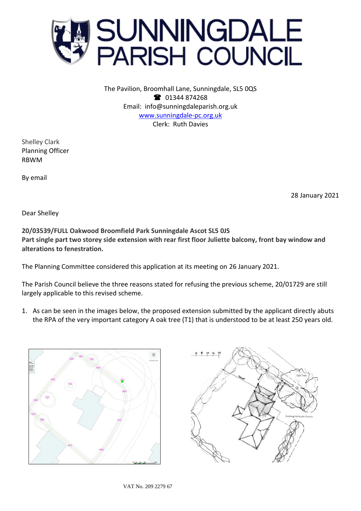

The Pavilion, Broomhall Lane, Sunningdale, SL5 0QS <sup>3</sup> 01344 874268 Email: info@sunningdaleparish.org.uk [www.sunningdale-pc.org.uk](http://www.sunningdale-pc.org.uk/) Clerk: Ruth Davies

Shelley Clark Planning Officer RBWM

By email

28 January 2021

Dear Shelley

**20/03539/FULL Oakwood Broomfield Park Sunningdale Ascot SL5 0JS Part single part two storey side extension with rear first floor Juliette balcony, front bay window and alterations to fenestration.**

The Planning Committee considered this application at its meeting on 26 January 2021.

The Parish Council believe the three reasons stated for refusing the previous scheme, 20/01729 are still largely applicable to this revised scheme.

1. As can be seen in the images below, the proposed extension submitted by the applicant directly abuts the RPA of the very important category A oak tree (T1) that is understood to be at least 250 years old.